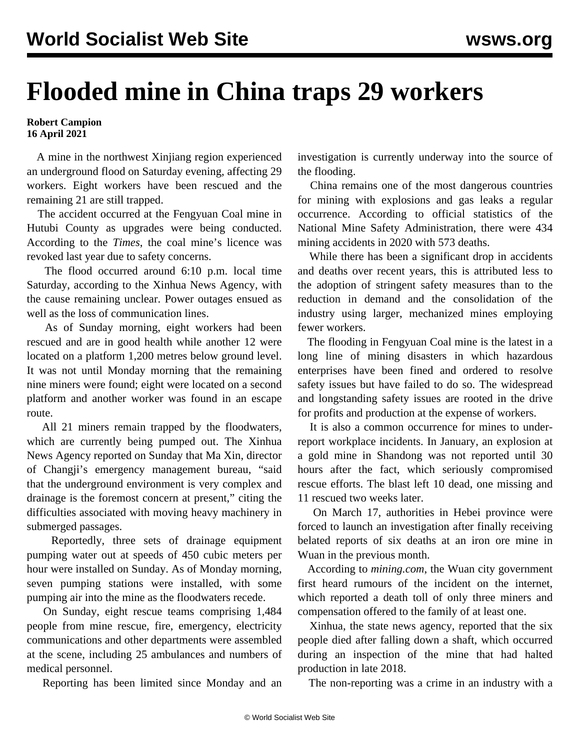## **Flooded mine in China traps 29 workers**

## **Robert Campion 16 April 2021**

 A mine in the northwest Xinjiang region experienced an underground flood on Saturday evening, affecting 29 workers. Eight workers have been rescued and the remaining 21 are still trapped.

 The accident occurred at the Fengyuan Coal mine in Hutubi County as upgrades were being conducted. According to the *Times*, the coal mine's licence was revoked last year due to safety concerns.

 The flood occurred around 6:10 p.m. local time Saturday, according to the Xinhua News Agency, with the cause remaining unclear. Power outages ensued as well as the loss of communication lines.

 As of Sunday morning, eight workers had been rescued and are in good health while another 12 were located on a platform 1,200 metres below ground level. It was not until Monday morning that the remaining nine miners were found; eight were located on a second platform and another worker was found in an escape route.

 All 21 miners remain trapped by the floodwaters, which are currently being pumped out. The Xinhua News Agency reported on Sunday that Ma Xin, director of Changji's emergency management bureau, "said that the underground environment is very complex and drainage is the foremost concern at present," citing the difficulties associated with moving heavy machinery in submerged passages.

 Reportedly, three sets of drainage equipment pumping water out at speeds of 450 cubic meters per hour were installed on Sunday. As of Monday morning, seven pumping stations were installed, with some pumping air into the mine as the floodwaters recede.

 On Sunday, eight rescue teams comprising 1,484 people from mine rescue, fire, emergency, electricity communications and other departments were assembled at the scene, including 25 ambulances and numbers of medical personnel.

Reporting has been limited since Monday and an

investigation is currently underway into the source of the flooding.

 China remains one of the most dangerous countries for mining with explosions and gas leaks a regular occurrence. According to official statistics of the National Mine Safety Administration, there were 434 mining accidents in 2020 with 573 deaths.

 While there has been a significant drop in accidents and deaths over recent years, this is attributed less to the adoption of stringent safety measures than to the reduction in demand and the consolidation of the industry using larger, mechanized mines employing fewer workers.

 The flooding in Fengyuan Coal mine is the latest in a long line of mining disasters in which hazardous enterprises have been fined and ordered to resolve safety issues but have failed to do so. The widespread and longstanding safety issues are rooted in the drive for profits and production at the expense of workers.

 It is also a common occurrence for mines to underreport workplace incidents. In January, an explosion at a [gold mine in Shandong](/en/articles/2021/01/26/chin-j26.html) was not reported until 30 hours after the fact, which seriously compromised rescue efforts. The blast left 10 dead, one missing and 11 rescued two weeks later.

 On March 17, authorities in Hebei province were forced to launch an investigation after finally receiving belated reports of six deaths at an iron ore mine in Wuan in the previous month.

 According to *mining.com*, the Wuan city government first heard rumours of the incident on the internet, which reported a death toll of only three miners and compensation offered to the family of at least one.

 Xinhua, the state news agency, reported that the six people died after falling down a shaft, which occurred during an inspection of the mine that had halted production in late 2018.

The non-reporting was a crime in an industry with a